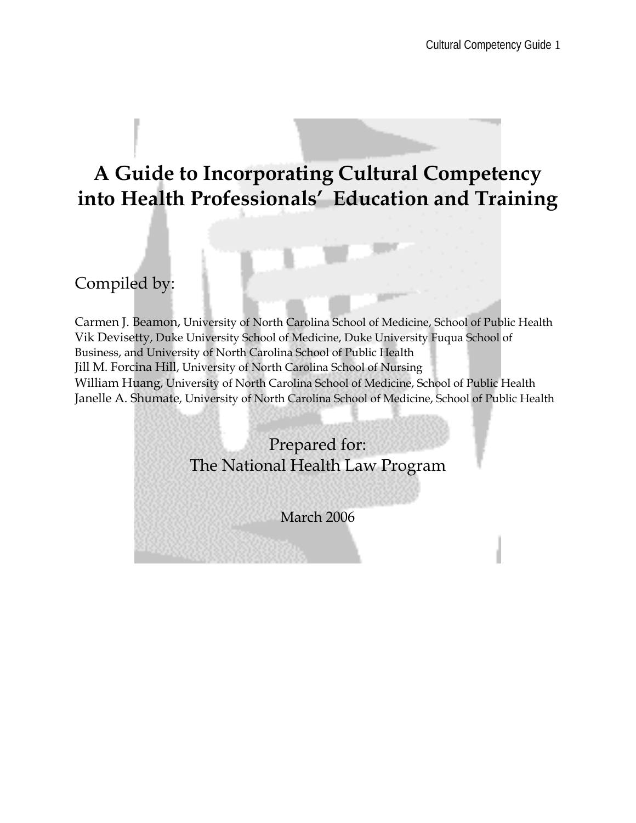# **A Guide to Incorporating Cultural Competency into Health Professionals' Education and Training**

# Compiled by:

Carmen J. Beamon, University of North Carolina School of Medicine, School of Public Health Vik Devisetty, Duke University School of Medicine, Duke University Fuqua School of Business, and University of North Carolina School of Public Health Jill M. Forcina Hill, University of North Carolina School of Nursing William Huang, University of North Carolina School of Medicine, School of Public Health Janelle A. Shumate, University of North Carolina School of Medicine, School of Public Health

| The National Health Law Program |
|---------------------------------|
|                                 |
|                                 |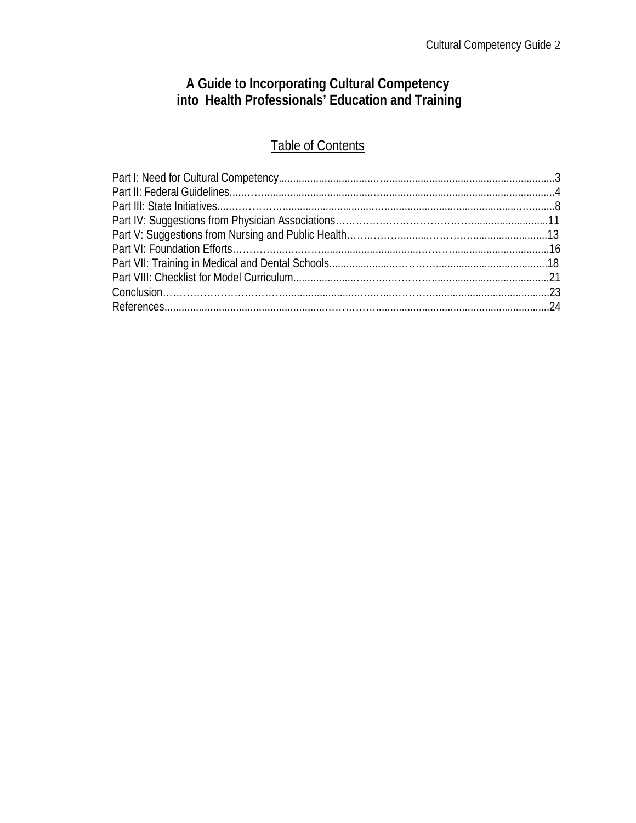# **A Guide to Incorporating Cultural Competency into Health Professionals' Education and Training**

# Table of Contents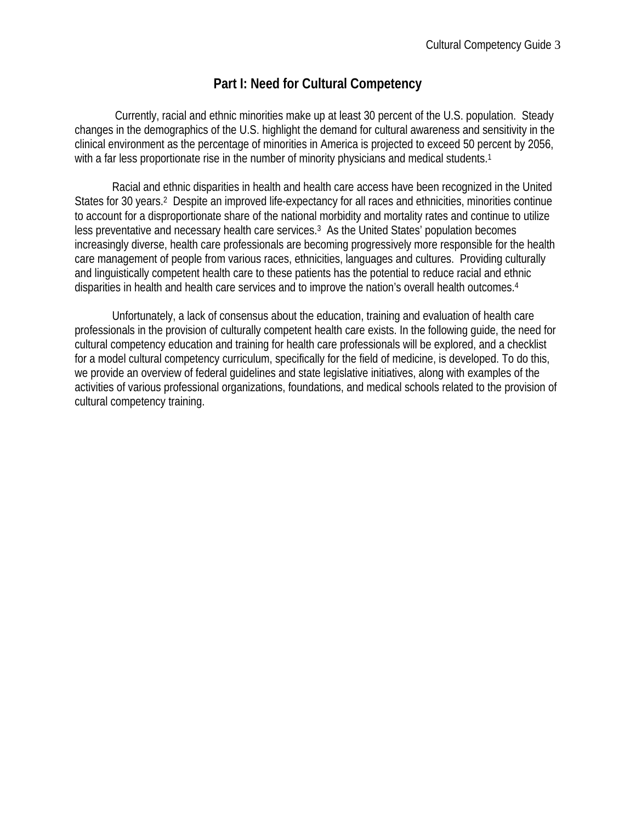# **Part I: Need for Cultural Competency**

 Currently, racial and ethnic minorities make up at least 30 percent of the U.S. population. Steady changes in the demographics of the U.S. highlight the demand for cultural awareness and sensitivity in the clinical environment as the percentage of minorities in America is projected to exceed 50 percent by 2056, with a far less proportionate rise in the number of minority physicians and medical students.<sup>1</sup>

Racial and ethnic disparities in health and health care access have been recognized in the United States for 30 years.<sup>2</sup> Despite an improved life-expectancy for all races and ethnicities, minorities continue to account for a disproportionate share of the national morbidity and mortality rates and continue to utilize less preventative and necessary health care services.3 As the United States' population becomes increasingly diverse, health care professionals are becoming progressively more responsible for the health care management of people from various races, ethnicities, languages and cultures. Providing culturally and linguistically competent health care to these patients has the potential to reduce racial and ethnic disparities in health and health care services and to improve the nation's overall health outcomes.4

Unfortunately, a lack of consensus about the education, training and evaluation of health care professionals in the provision of culturally competent health care exists. In the following guide, the need for cultural competency education and training for health care professionals will be explored, and a checklist for a model cultural competency curriculum, specifically for the field of medicine, is developed. To do this, we provide an overview of federal guidelines and state legislative initiatives, along with examples of the activities of various professional organizations, foundations, and medical schools related to the provision of cultural competency training.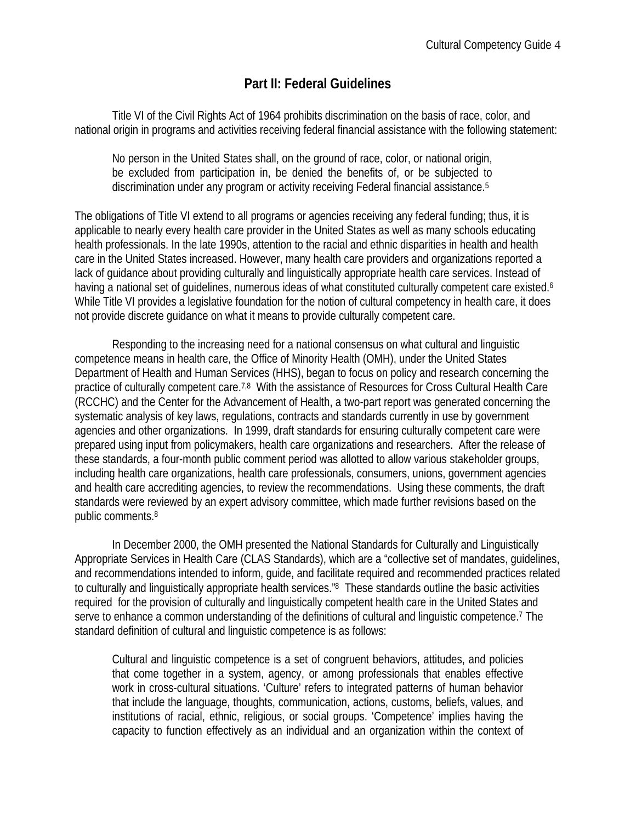### **Part II: Federal Guidelines**

Title VI of the Civil Rights Act of 1964 prohibits discrimination on the basis of race, color, and national origin in programs and activities receiving federal financial assistance with the following statement:

No person in the United States shall, on the ground of race, color, or national origin, be excluded from participation in, be denied the benefits of, or be subjected to discrimination under any program or activity receiving Federal financial assistance.5

The obligations of Title VI extend to all programs or agencies receiving any federal funding; thus, it is applicable to nearly every health care provider in the United States as well as many schools educating health professionals. In the late 1990s, attention to the racial and ethnic disparities in health and health care in the United States increased. However, many health care providers and organizations reported a lack of guidance about providing culturally and linguistically appropriate health care services. Instead of having a national set of quidelines, numerous ideas of what constituted culturally competent care existed.<sup>6</sup> While Title VI provides a legislative foundation for the notion of cultural competency in health care, it does not provide discrete guidance on what it means to provide culturally competent care.

Responding to the increasing need for a national consensus on what cultural and linguistic competence means in health care, the Office of Minority Health (OMH), under the United States Department of Health and Human Services (HHS), began to focus on policy and research concerning the practice of culturally competent care.7,8 With the assistance of Resources for Cross Cultural Health Care (RCCHC) and the Center for the Advancement of Health, a two-part report was generated concerning the systematic analysis of key laws, regulations, contracts and standards currently in use by government agencies and other organizations. In 1999, draft standards for ensuring culturally competent care were prepared using input from policymakers, health care organizations and researchers. After the release of these standards, a four-month public comment period was allotted to allow various stakeholder groups, including health care organizations, health care professionals, consumers, unions, government agencies and health care accrediting agencies, to review the recommendations. Using these comments, the draft standards were reviewed by an expert advisory committee, which made further revisions based on the public comments.8

In December 2000, the OMH presented the National Standards for Culturally and Linguistically Appropriate Services in Health Care (CLAS Standards), which are a "collective set of mandates, guidelines, and recommendations intended to inform, guide, and facilitate required and recommended practices related to culturally and linguistically appropriate health services."8 These standards outline the basic activities required for the provision of culturally and linguistically competent health care in the United States and serve to enhance a common understanding of the definitions of cultural and linguistic competence.<sup>7</sup> The standard definition of cultural and linguistic competence is as follows:

Cultural and linguistic competence is a set of congruent behaviors, attitudes, and policies that come together in a system, agency, or among professionals that enables effective work in cross-cultural situations. 'Culture' refers to integrated patterns of human behavior that include the language, thoughts, communication, actions, customs, beliefs, values, and institutions of racial, ethnic, religious, or social groups. 'Competence' implies having the capacity to function effectively as an individual and an organization within the context of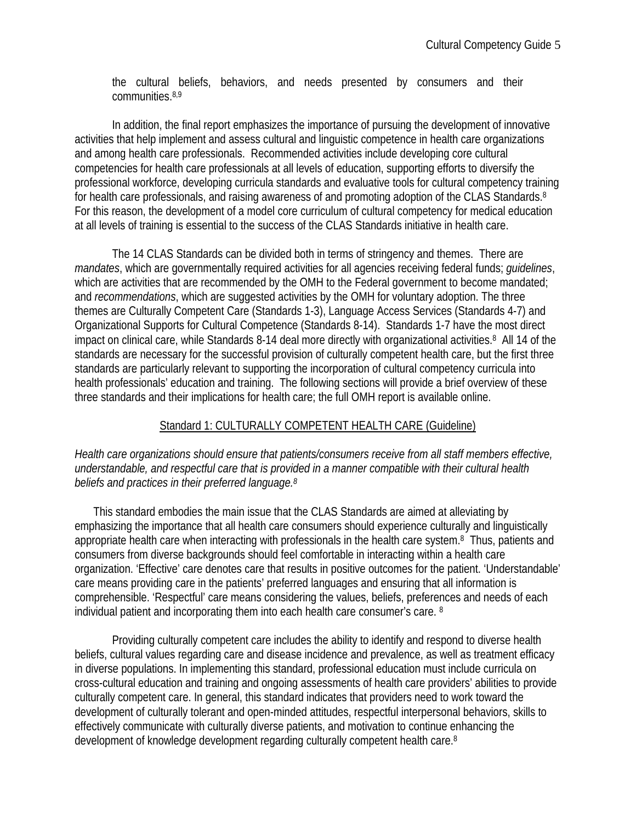the cultural beliefs, behaviors, and needs presented by consumers and their communities.8,9

In addition, the final report emphasizes the importance of pursuing the development of innovative activities that help implement and assess cultural and linguistic competence in health care organizations and among health care professionals. Recommended activities include developing core cultural competencies for health care professionals at all levels of education, supporting efforts to diversify the professional workforce, developing curricula standards and evaluative tools for cultural competency training for health care professionals, and raising awareness of and promoting adoption of the CLAS Standards.<sup>8</sup> For this reason, the development of a model core curriculum of cultural competency for medical education at all levels of training is essential to the success of the CLAS Standards initiative in health care.

 The 14 CLAS Standards can be divided both in terms of stringency and themes. There are *mandates*, which are governmentally required activities for all agencies receiving federal funds; *guidelines*, which are activities that are recommended by the OMH to the Federal government to become mandated; and *recommendations*, which are suggested activities by the OMH for voluntary adoption. The three themes are Culturally Competent Care (Standards 1-3), Language Access Services (Standards 4-7) and Organizational Supports for Cultural Competence (Standards 8-14). Standards 1-7 have the most direct impact on clinical care, while Standards 8-14 deal more directly with organizational activities.8 All 14 of the standards are necessary for the successful provision of culturally competent health care, but the first three standards are particularly relevant to supporting the incorporation of cultural competency curricula into health professionals' education and training. The following sections will provide a brief overview of these three standards and their implications for health care; the full OMH report is available online.

#### Standard 1: CULTURALLY COMPETENT HEALTH CARE (Guideline)

#### *Health care organizations should ensure that patients/consumers receive from all staff members effective, understandable, and respectful care that is provided in a manner compatible with their cultural health beliefs and practices in their preferred language.8*

This standard embodies the main issue that the CLAS Standards are aimed at alleviating by emphasizing the importance that all health care consumers should experience culturally and linguistically appropriate health care when interacting with professionals in the health care system.8 Thus, patients and consumers from diverse backgrounds should feel comfortable in interacting within a health care organization. 'Effective' care denotes care that results in positive outcomes for the patient. 'Understandable' care means providing care in the patients' preferred languages and ensuring that all information is comprehensible. 'Respectful' care means considering the values, beliefs, preferences and needs of each individual patient and incorporating them into each health care consumer's care. 8

 Providing culturally competent care includes the ability to identify and respond to diverse health beliefs, cultural values regarding care and disease incidence and prevalence, as well as treatment efficacy in diverse populations. In implementing this standard, professional education must include curricula on cross-cultural education and training and ongoing assessments of health care providers' abilities to provide culturally competent care. In general, this standard indicates that providers need to work toward the development of culturally tolerant and open-minded attitudes, respectful interpersonal behaviors, skills to effectively communicate with culturally diverse patients, and motivation to continue enhancing the development of knowledge development regarding culturally competent health care.8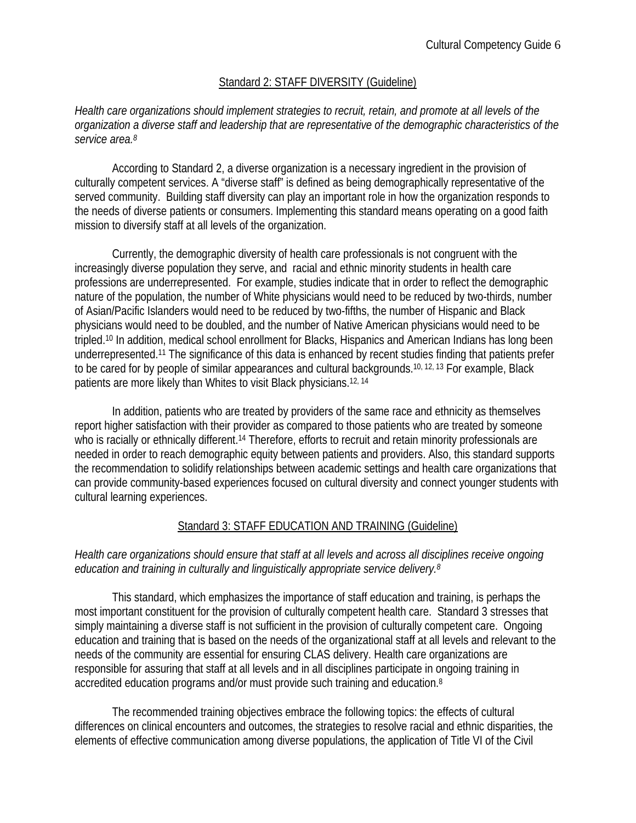#### Standard 2: STAFF DIVERSITY (Guideline)

#### *Health care organizations should implement strategies to recruit, retain, and promote at all levels of the organization a diverse staff and leadership that are representative of the demographic characteristics of the service area.8*

 According to Standard 2, a diverse organization is a necessary ingredient in the provision of culturally competent services. A "diverse staff" is defined as being demographically representative of the served community. Building staff diversity can play an important role in how the organization responds to the needs of diverse patients or consumers. Implementing this standard means operating on a good faith mission to diversify staff at all levels of the organization.

Currently, the demographic diversity of health care professionals is not congruent with the increasingly diverse population they serve, and racial and ethnic minority students in health care professions are underrepresented. For example, studies indicate that in order to reflect the demographic nature of the population, the number of White physicians would need to be reduced by two-thirds, number of Asian/Pacific Islanders would need to be reduced by two-fifths, the number of Hispanic and Black physicians would need to be doubled, and the number of Native American physicians would need to be tripled.10 In addition, medical school enrollment for Blacks, Hispanics and American Indians has long been underrepresented.11 The significance of this data is enhanced by recent studies finding that patients prefer to be cared for by people of similar appearances and cultural backgrounds.10, 12, 13 For example, Black patients are more likely than Whites to visit Black physicians.12, 14

In addition, patients who are treated by providers of the same race and ethnicity as themselves report higher satisfaction with their provider as compared to those patients who are treated by someone who is racially or ethnically different.<sup>14</sup> Therefore, efforts to recruit and retain minority professionals are needed in order to reach demographic equity between patients and providers. Also, this standard supports the recommendation to solidify relationships between academic settings and health care organizations that can provide community-based experiences focused on cultural diversity and connect younger students with cultural learning experiences.

#### Standard 3: STAFF EDUCATION AND TRAINING (Guideline)

#### *Health care organizations should ensure that staff at all levels and across all disciplines receive ongoing education and training in culturally and linguistically appropriate service delivery.8*

 This standard, which emphasizes the importance of staff education and training, is perhaps the most important constituent for the provision of culturally competent health care. Standard 3 stresses that simply maintaining a diverse staff is not sufficient in the provision of culturally competent care. Ongoing education and training that is based on the needs of the organizational staff at all levels and relevant to the needs of the community are essential for ensuring CLAS delivery. Health care organizations are responsible for assuring that staff at all levels and in all disciplines participate in ongoing training in accredited education programs and/or must provide such training and education.8

The recommended training objectives embrace the following topics: the effects of cultural differences on clinical encounters and outcomes, the strategies to resolve racial and ethnic disparities, the elements of effective communication among diverse populations, the application of Title VI of the Civil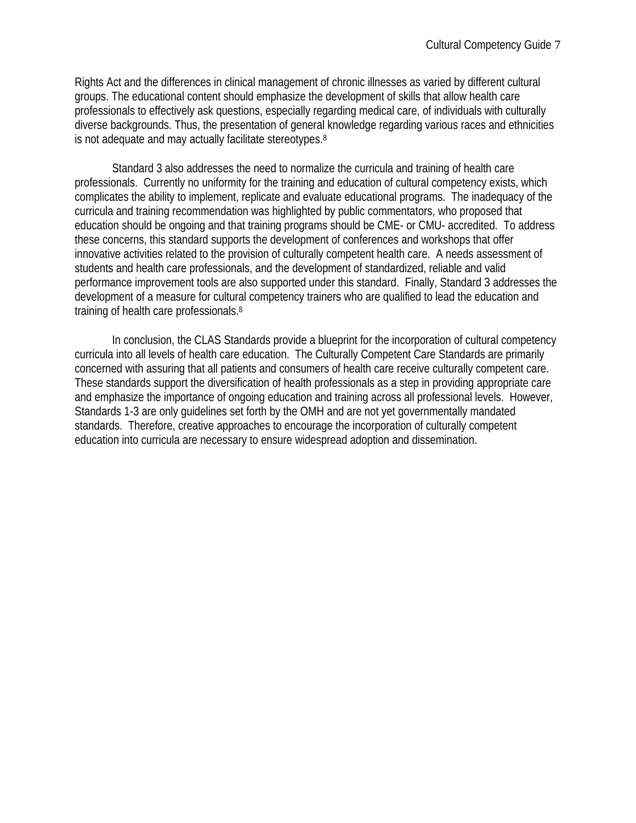Rights Act and the differences in clinical management of chronic illnesses as varied by different cultural groups. The educational content should emphasize the development of skills that allow health care professionals to effectively ask questions, especially regarding medical care, of individuals with culturally diverse backgrounds. Thus, the presentation of general knowledge regarding various races and ethnicities is not adequate and may actually facilitate stereotypes.8

 Standard 3 also addresses the need to normalize the curricula and training of health care professionals. Currently no uniformity for the training and education of cultural competency exists, which complicates the ability to implement, replicate and evaluate educational programs. The inadequacy of the curricula and training recommendation was highlighted by public commentators, who proposed that education should be ongoing and that training programs should be CME- or CMU- accredited. To address these concerns, this standard supports the development of conferences and workshops that offer innovative activities related to the provision of culturally competent health care. A needs assessment of students and health care professionals, and the development of standardized, reliable and valid performance improvement tools are also supported under this standard. Finally, Standard 3 addresses the development of a measure for cultural competency trainers who are qualified to lead the education and training of health care professionals.8

 In conclusion, the CLAS Standards provide a blueprint for the incorporation of cultural competency curricula into all levels of health care education. The Culturally Competent Care Standards are primarily concerned with assuring that all patients and consumers of health care receive culturally competent care. These standards support the diversification of health professionals as a step in providing appropriate care and emphasize the importance of ongoing education and training across all professional levels. However, Standards 1-3 are only guidelines set forth by the OMH and are not yet governmentally mandated standards. Therefore, creative approaches to encourage the incorporation of culturally competent education into curricula are necessary to ensure widespread adoption and dissemination.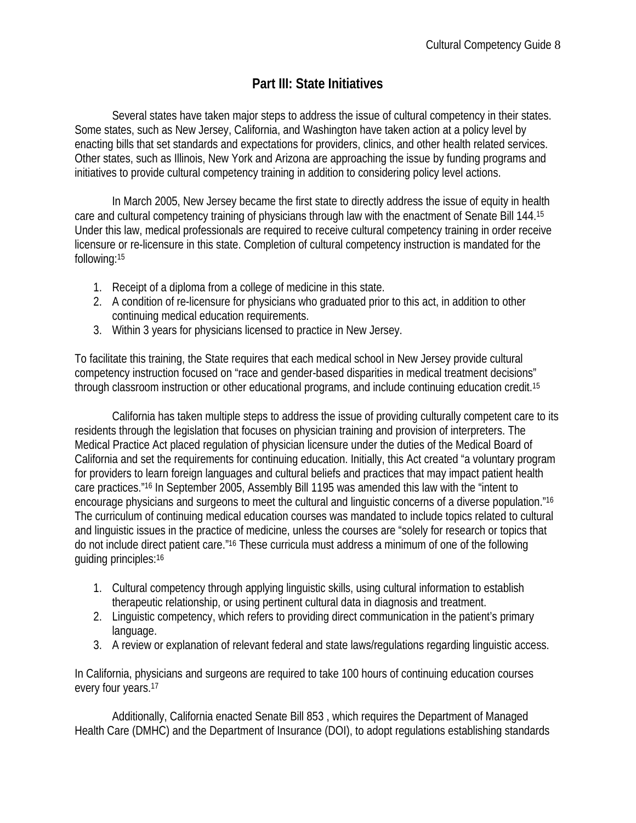# **Part III: State Initiatives**

Several states have taken major steps to address the issue of cultural competency in their states. Some states, such as New Jersey, California, and Washington have taken action at a policy level by enacting bills that set standards and expectations for providers, clinics, and other health related services. Other states, such as Illinois, New York and Arizona are approaching the issue by funding programs and initiatives to provide cultural competency training in addition to considering policy level actions.

 In March 2005, New Jersey became the first state to directly address the issue of equity in health care and cultural competency training of physicians through law with the enactment of Senate Bill 144.15 Under this law, medical professionals are required to receive cultural competency training in order receive licensure or re-licensure in this state. Completion of cultural competency instruction is mandated for the following:15

- 1. Receipt of a diploma from a college of medicine in this state.
- 2. A condition of re-licensure for physicians who graduated prior to this act, in addition to other continuing medical education requirements.
- 3. Within 3 years for physicians licensed to practice in New Jersey.

To facilitate this training, the State requires that each medical school in New Jersey provide cultural competency instruction focused on "race and gender-based disparities in medical treatment decisions" through classroom instruction or other educational programs, and include continuing education credit.15

California has taken multiple steps to address the issue of providing culturally competent care to its residents through the legislation that focuses on physician training and provision of interpreters. The Medical Practice Act placed regulation of physician licensure under the duties of the Medical Board of California and set the requirements for continuing education. Initially, this Act created "a voluntary program for providers to learn foreign languages and cultural beliefs and practices that may impact patient health care practices."16 In September 2005, Assembly Bill 1195 was amended this law with the "intent to encourage physicians and surgeons to meet the cultural and linguistic concerns of a diverse population."16 The curriculum of continuing medical education courses was mandated to include topics related to cultural and linguistic issues in the practice of medicine, unless the courses are "solely for research or topics that do not include direct patient care."16 These curricula must address a minimum of one of the following guiding principles:16

- 1. Cultural competency through applying linguistic skills, using cultural information to establish therapeutic relationship, or using pertinent cultural data in diagnosis and treatment.
- 2. Linguistic competency, which refers to providing direct communication in the patient's primary language.
- 3. A review or explanation of relevant federal and state laws/regulations regarding linguistic access.

In California, physicians and surgeons are required to take 100 hours of continuing education courses every four years.17

 Additionally, California enacted Senate Bill 853 , which requires the Department of Managed Health Care (DMHC) and the Department of Insurance (DOI), to adopt regulations establishing standards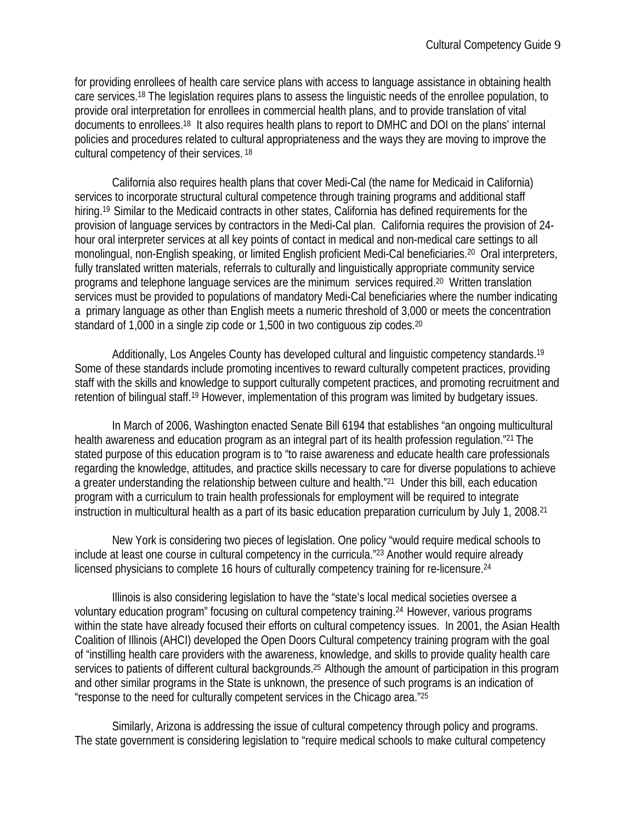for providing enrollees of health care service plans with access to language assistance in obtaining health care services.18 The legislation requires plans to assess the linguistic needs of the enrollee population, to provide oral interpretation for enrollees in commercial health plans, and to provide translation of vital documents to enrollees.18 It also requires health plans to report to DMHC and DOI on the plans' internal policies and procedures related to cultural appropriateness and the ways they are moving to improve the cultural competency of their services. 18

California also requires health plans that cover Medi-Cal (the name for Medicaid in California) services to incorporate structural cultural competence through training programs and additional staff hiring.<sup>19</sup> Similar to the Medicaid contracts in other states, California has defined requirements for the provision of language services by contractors in the Medi-Cal plan. California requires the provision of 24 hour oral interpreter services at all key points of contact in medical and non-medical care settings to all monolingual, non-English speaking, or limited English proficient Medi-Cal beneficiaries.20 Oral interpreters, fully translated written materials, referrals to culturally and linguistically appropriate community service programs and telephone language services are the minimum services required.20 Written translation services must be provided to populations of mandatory Medi-Cal beneficiaries where the number indicating a primary language as other than English meets a numeric threshold of 3,000 or meets the concentration standard of 1,000 in a single zip code or 1,500 in two contiguous zip codes.<sup>20</sup>

Additionally, Los Angeles County has developed cultural and linguistic competency standards.<sup>19</sup> Some of these standards include promoting incentives to reward culturally competent practices, providing staff with the skills and knowledge to support culturally competent practices, and promoting recruitment and retention of bilingual staff.19 However, implementation of this program was limited by budgetary issues.

 In March of 2006, Washington enacted Senate Bill 6194 that establishes "an ongoing multicultural health awareness and education program as an integral part of its health profession regulation."21 The stated purpose of this education program is to "to raise awareness and educate health care professionals regarding the knowledge, attitudes, and practice skills necessary to care for diverse populations to achieve a greater understanding the relationship between culture and health."21 Under this bill, each education program with a curriculum to train health professionals for employment will be required to integrate instruction in multicultural health as a part of its basic education preparation curriculum by July 1, 2008.21

New York is considering two pieces of legislation. One policy "would require medical schools to include at least one course in cultural competency in the curricula."23 Another would require already licensed physicians to complete 16 hours of culturally competency training for re-licensure.24

 Illinois is also considering legislation to have the "state's local medical societies oversee a voluntary education program" focusing on cultural competency training.24 However, various programs within the state have already focused their efforts on cultural competency issues. In 2001, the Asian Health Coalition of Illinois (AHCI) developed the Open Doors Cultural competency training program with the goal of "instilling health care providers with the awareness, knowledge, and skills to provide quality health care services to patients of different cultural backgrounds.<sup>25</sup> Although the amount of participation in this program and other similar programs in the State is unknown, the presence of such programs is an indication of "response to the need for culturally competent services in the Chicago area."25

 Similarly, Arizona is addressing the issue of cultural competency through policy and programs. The state government is considering legislation to "require medical schools to make cultural competency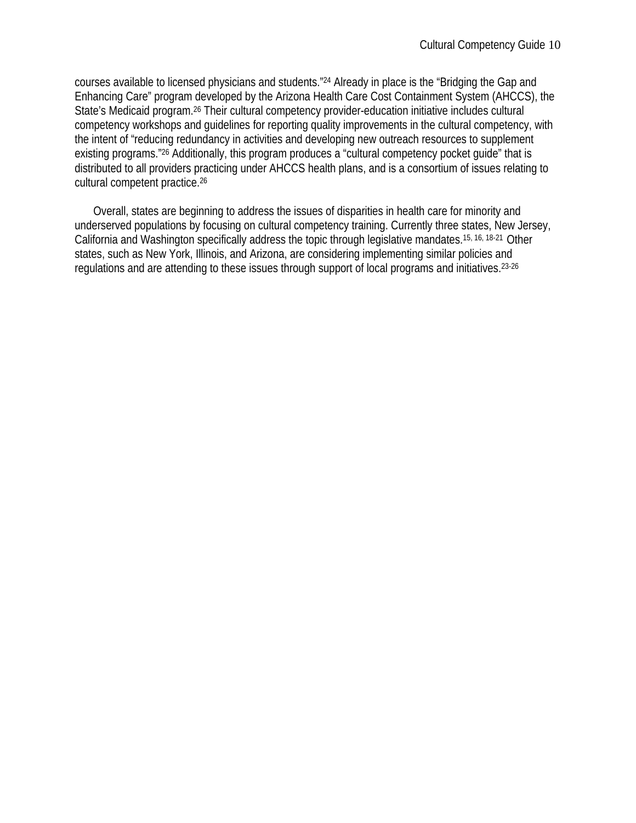courses available to licensed physicians and students."24 Already in place is the "Bridging the Gap and Enhancing Care" program developed by the Arizona Health Care Cost Containment System (AHCCS), the State's Medicaid program.26 Their cultural competency provider-education initiative includes cultural competency workshops and guidelines for reporting quality improvements in the cultural competency, with the intent of "reducing redundancy in activities and developing new outreach resources to supplement existing programs."26 Additionally, this program produces a "cultural competency pocket guide" that is distributed to all providers practicing under AHCCS health plans, and is a consortium of issues relating to cultural competent practice.26

Overall, states are beginning to address the issues of disparities in health care for minority and underserved populations by focusing on cultural competency training. Currently three states, New Jersey, California and Washington specifically address the topic through legislative mandates.15, 16, 18-21 Other states, such as New York, Illinois, and Arizona, are considering implementing similar policies and regulations and are attending to these issues through support of local programs and initiatives.23-26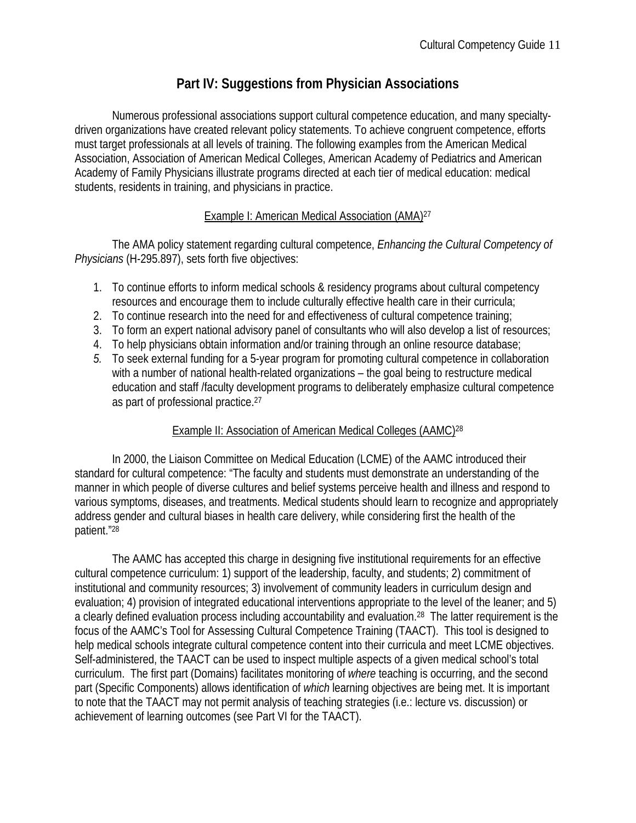# **Part IV: Suggestions from Physician Associations**

Numerous professional associations support cultural competence education, and many specialtydriven organizations have created relevant policy statements. To achieve congruent competence, efforts must target professionals at all levels of training. The following examples from the American Medical Association, Association of American Medical Colleges, American Academy of Pediatrics and American Academy of Family Physicians illustrate programs directed at each tier of medical education: medical students, residents in training, and physicians in practice.

#### Example I: American Medical Association (AMA)27

The AMA policy statement regarding cultural competence, *Enhancing the Cultural Competency of Physicians* (H-295.897), sets forth five objectives:

- 1. To continue efforts to inform medical schools & residency programs about cultural competency resources and encourage them to include culturally effective health care in their curricula;
- 2. To continue research into the need for and effectiveness of cultural competence training;
- 3. To form an expert national advisory panel of consultants who will also develop a list of resources;
- 4. To help physicians obtain information and/or training through an online resource database;
- *5.* To seek external funding for a 5-year program for promoting cultural competence in collaboration with a number of national health-related organizations – the goal being to restructure medical education and staff /faculty development programs to deliberately emphasize cultural competence as part of professional practice.27

#### Example II: Association of American Medical Colleges (AAMC)28

In 2000, the Liaison Committee on Medical Education (LCME) of the AAMC introduced their standard for cultural competence: "The faculty and students must demonstrate an understanding of the manner in which people of diverse cultures and belief systems perceive health and illness and respond to various symptoms, diseases, and treatments. Medical students should learn to recognize and appropriately address gender and cultural biases in health care delivery, while considering first the health of the patient."28

The AAMC has accepted this charge in designing five institutional requirements for an effective cultural competence curriculum: 1) support of the leadership, faculty, and students; 2) commitment of institutional and community resources; 3) involvement of community leaders in curriculum design and evaluation; 4) provision of integrated educational interventions appropriate to the level of the leaner; and 5) a clearly defined evaluation process including accountability and evaluation.28 The latter requirement is the focus of the AAMC's Tool for Assessing Cultural Competence Training (TAACT). This tool is designed to help medical schools integrate cultural competence content into their curricula and meet LCME objectives. Self-administered, the TAACT can be used to inspect multiple aspects of a given medical school's total curriculum. The first part (Domains) facilitates monitoring of *where* teaching is occurring, and the second part (Specific Components) allows identification of *which* learning objectives are being met. It is important to note that the TAACT may not permit analysis of teaching strategies (i.e.: lecture vs. discussion) or achievement of learning outcomes (see Part VI for the TAACT).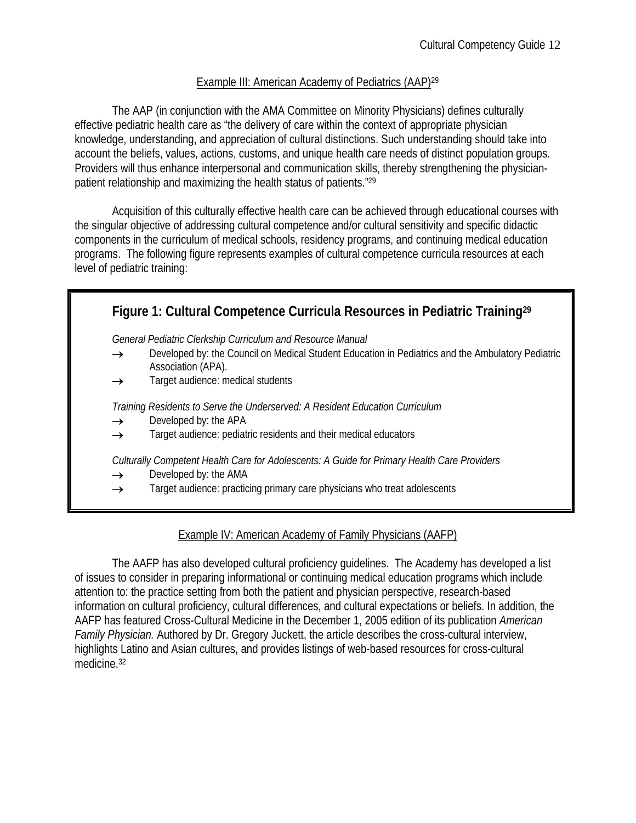#### Example III: American Academy of Pediatrics (AAP)29

The AAP (in conjunction with the AMA Committee on Minority Physicians) defines culturally effective pediatric health care as "the delivery of care within the context of appropriate physician knowledge, understanding, and appreciation of cultural distinctions. Such understanding should take into account the beliefs, values, actions, customs, and unique health care needs of distinct population groups. Providers will thus enhance interpersonal and communication skills, thereby strengthening the physicianpatient relationship and maximizing the health status of patients."29

Acquisition of this culturally effective health care can be achieved through educational courses with the singular objective of addressing cultural competence and/or cultural sensitivity and specific didactic components in the curriculum of medical schools, residency programs, and continuing medical education programs. The following figure represents examples of cultural competence curricula resources at each level of pediatric training:

|               | Figure 1: Cultural Competence Curricula Resources in Pediatric Training <sup>29</sup>                                   |
|---------------|-------------------------------------------------------------------------------------------------------------------------|
|               | General Pediatric Clerkship Curriculum and Resource Manual                                                              |
| $\rightarrow$ | Developed by: the Council on Medical Student Education in Pediatrics and the Ambulatory Pediatric<br>Association (APA). |
| $\rightarrow$ | Target audience: medical students                                                                                       |
|               | Training Residents to Serve the Underserved: A Resident Education Curriculum                                            |
| $\rightarrow$ | Developed by: the APA                                                                                                   |
| $\rightarrow$ | Target audience: pediatric residents and their medical educators                                                        |
|               | Culturally Competent Health Care for Adolescents: A Guide for Primary Health Care Providers                             |
| $\rightarrow$ | Developed by: the AMA                                                                                                   |
| $\rightarrow$ | Target audience: practicing primary care physicians who treat adolescents                                               |

#### Example IV: American Academy of Family Physicians (AAFP)

 The AAFP has also developed cultural proficiency guidelines. The Academy has developed a list of issues to consider in preparing informational or continuing medical education programs which include attention to: the practice setting from both the patient and physician perspective, research-based information on cultural proficiency, cultural differences, and cultural expectations or beliefs. In addition, the AAFP has featured Cross-Cultural Medicine in the December 1, 2005 edition of its publication *American Family Physician.* Authored by Dr. Gregory Juckett, the article describes the cross-cultural interview, highlights Latino and Asian cultures, and provides listings of web-based resources for cross-cultural medicine.<sup>32</sup>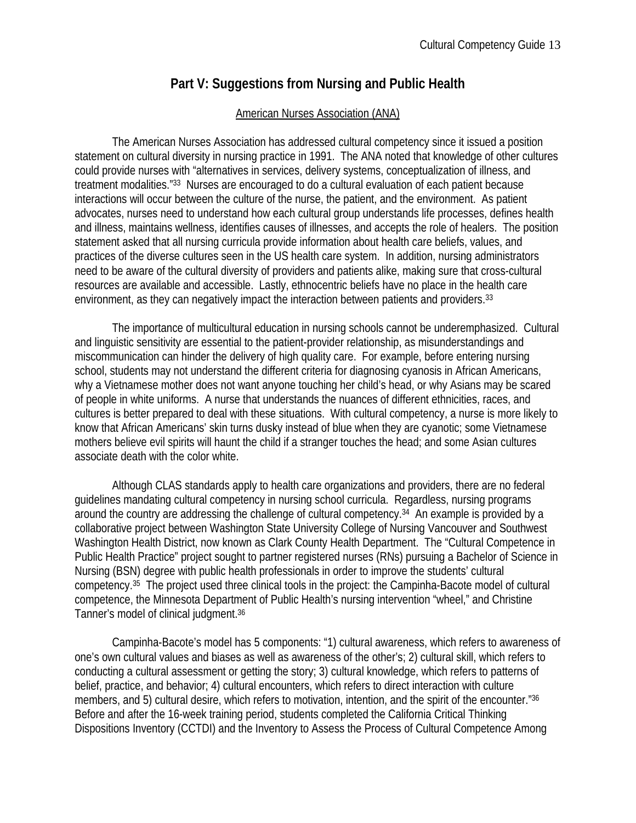### **Part V: Suggestions from Nursing and Public Health**

#### American Nurses Association (ANA)

 The American Nurses Association has addressed cultural competency since it issued a position statement on cultural diversity in nursing practice in 1991. The ANA noted that knowledge of other cultures could provide nurses with "alternatives in services, delivery systems, conceptualization of illness, and treatment modalities."33 Nurses are encouraged to do a cultural evaluation of each patient because interactions will occur between the culture of the nurse, the patient, and the environment. As patient advocates, nurses need to understand how each cultural group understands life processes, defines health and illness, maintains wellness, identifies causes of illnesses, and accepts the role of healers. The position statement asked that all nursing curricula provide information about health care beliefs, values, and practices of the diverse cultures seen in the US health care system. In addition, nursing administrators need to be aware of the cultural diversity of providers and patients alike, making sure that cross-cultural resources are available and accessible. Lastly, ethnocentric beliefs have no place in the health care environment, as they can negatively impact the interaction between patients and providers.33

 The importance of multicultural education in nursing schools cannot be underemphasized. Cultural and linguistic sensitivity are essential to the patient-provider relationship, as misunderstandings and miscommunication can hinder the delivery of high quality care. For example, before entering nursing school, students may not understand the different criteria for diagnosing cyanosis in African Americans, why a Vietnamese mother does not want anyone touching her child's head, or why Asians may be scared of people in white uniforms. A nurse that understands the nuances of different ethnicities, races, and cultures is better prepared to deal with these situations. With cultural competency, a nurse is more likely to know that African Americans' skin turns dusky instead of blue when they are cyanotic; some Vietnamese mothers believe evil spirits will haunt the child if a stranger touches the head; and some Asian cultures associate death with the color white.

Although CLAS standards apply to health care organizations and providers, there are no federal guidelines mandating cultural competency in nursing school curricula. Regardless, nursing programs around the country are addressing the challenge of cultural competency.34 An example is provided by a collaborative project between Washington State University College of Nursing Vancouver and Southwest Washington Health District, now known as Clark County Health Department. The "Cultural Competence in Public Health Practice" project sought to partner registered nurses (RNs) pursuing a Bachelor of Science in Nursing (BSN) degree with public health professionals in order to improve the students' cultural competency.35 The project used three clinical tools in the project: the Campinha-Bacote model of cultural competence, the Minnesota Department of Public Health's nursing intervention "wheel," and Christine Tanner's model of clinical judgment.36

 Campinha-Bacote's model has 5 components: "1) cultural awareness, which refers to awareness of one's own cultural values and biases as well as awareness of the other's; 2) cultural skill, which refers to conducting a cultural assessment or getting the story; 3) cultural knowledge, which refers to patterns of belief, practice, and behavior; 4) cultural encounters, which refers to direct interaction with culture members, and 5) cultural desire, which refers to motivation, intention, and the spirit of the encounter."36 Before and after the 16-week training period, students completed the California Critical Thinking Dispositions Inventory (CCTDI) and the Inventory to Assess the Process of Cultural Competence Among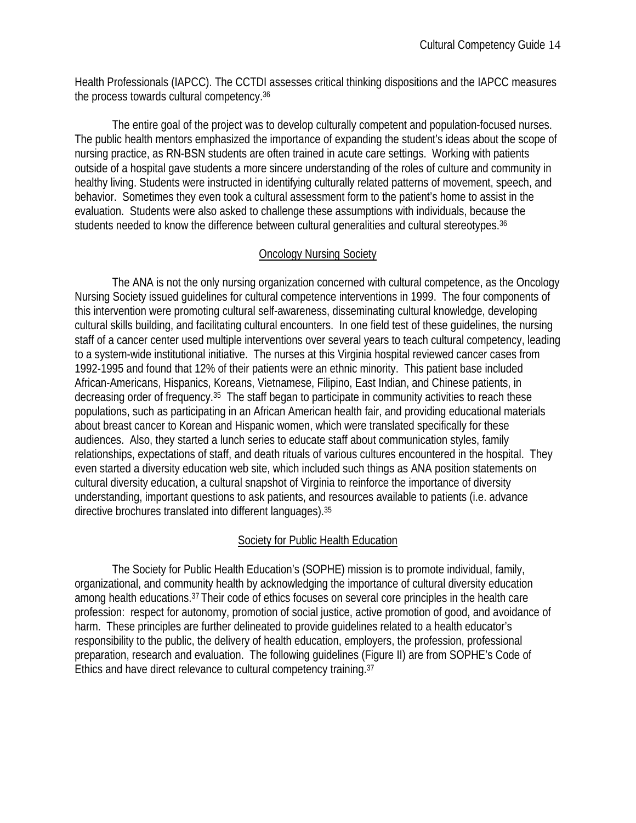Health Professionals (IAPCC). The CCTDI assesses critical thinking dispositions and the IAPCC measures the process towards cultural competency.36

 The entire goal of the project was to develop culturally competent and population-focused nurses. The public health mentors emphasized the importance of expanding the student's ideas about the scope of nursing practice, as RN-BSN students are often trained in acute care settings. Working with patients outside of a hospital gave students a more sincere understanding of the roles of culture and community in healthy living. Students were instructed in identifying culturally related patterns of movement, speech, and behavior. Sometimes they even took a cultural assessment form to the patient's home to assist in the evaluation. Students were also asked to challenge these assumptions with individuals, because the students needed to know the difference between cultural generalities and cultural stereotypes.<sup>36</sup>

#### Oncology Nursing Society

 The ANA is not the only nursing organization concerned with cultural competence, as the Oncology Nursing Society issued guidelines for cultural competence interventions in 1999. The four components of this intervention were promoting cultural self-awareness, disseminating cultural knowledge, developing cultural skills building, and facilitating cultural encounters. In one field test of these guidelines, the nursing staff of a cancer center used multiple interventions over several years to teach cultural competency, leading to a system-wide institutional initiative. The nurses at this Virginia hospital reviewed cancer cases from 1992-1995 and found that 12% of their patients were an ethnic minority. This patient base included African-Americans, Hispanics, Koreans, Vietnamese, Filipino, East Indian, and Chinese patients, in decreasing order of frequency.35 The staff began to participate in community activities to reach these populations, such as participating in an African American health fair, and providing educational materials about breast cancer to Korean and Hispanic women, which were translated specifically for these audiences. Also, they started a lunch series to educate staff about communication styles, family relationships, expectations of staff, and death rituals of various cultures encountered in the hospital. They even started a diversity education web site, which included such things as ANA position statements on cultural diversity education, a cultural snapshot of Virginia to reinforce the importance of diversity understanding, important questions to ask patients, and resources available to patients (i.e. advance directive brochures translated into different languages).35

#### Society for Public Health Education

The Society for Public Health Education's (SOPHE) mission is to promote individual, family, organizational, and community health by acknowledging the importance of cultural diversity education among health educations.37 Their code of ethics focuses on several core principles in the health care profession: respect for autonomy, promotion of social justice, active promotion of good, and avoidance of harm. These principles are further delineated to provide guidelines related to a health educator's responsibility to the public, the delivery of health education, employers, the profession, professional preparation, research and evaluation. The following guidelines (Figure II) are from SOPHE's Code of Ethics and have direct relevance to cultural competency training.37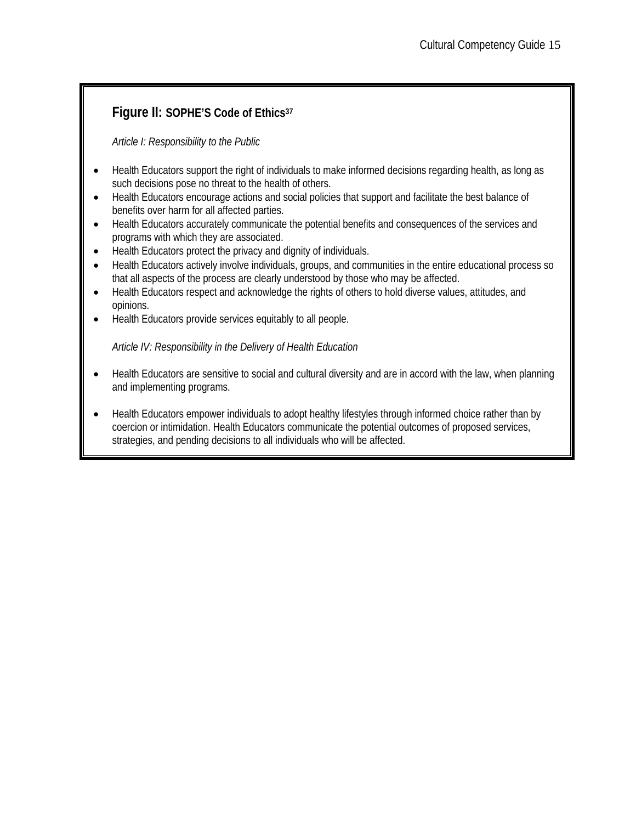# **Figure II: SOPHE'S Code of Ethics37**

*Article I: Responsibility to the Public* 

- Health Educators support the right of individuals to make informed decisions regarding health, as long as such decisions pose no threat to the health of others.
- Health Educators encourage actions and social policies that support and facilitate the best balance of benefits over harm for all affected parties.
- Health Educators accurately communicate the potential benefits and consequences of the services and programs with which they are associated.
- Health Educators protect the privacy and dignity of individuals.
- Health Educators actively involve individuals, groups, and communities in the entire educational process so that all aspects of the process are clearly understood by those who may be affected.
- Health Educators respect and acknowledge the rights of others to hold diverse values, attitudes, and opinions.
- Health Educators provide services equitably to all people.

*Article IV: Responsibility in the Delivery of Health Education* 

- Health Educators are sensitive to social and cultural diversity and are in accord with the law, when planning and implementing programs.
- Health Educators empower individuals to adopt healthy lifestyles through informed choice rather than by coercion or intimidation. Health Educators communicate the potential outcomes of proposed services, strategies, and pending decisions to all individuals who will be affected.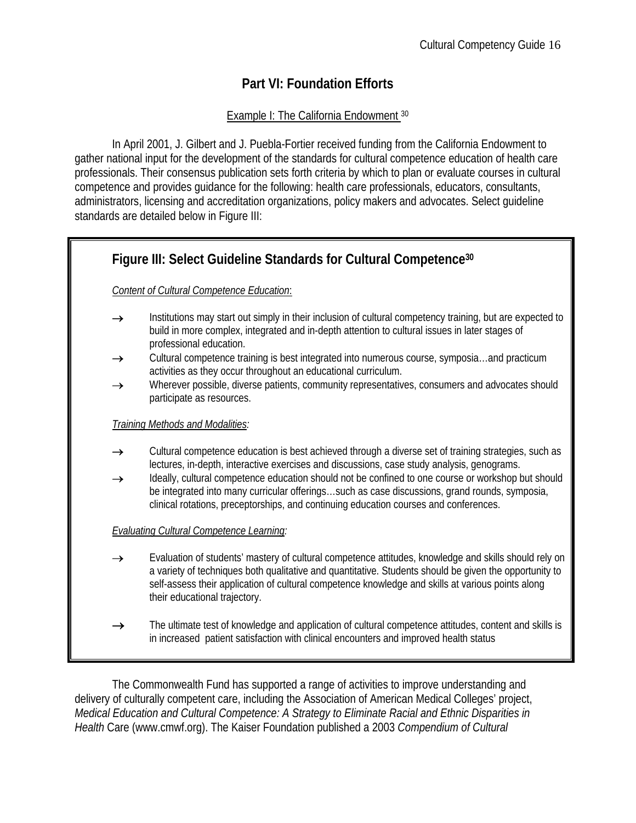# **Part VI: Foundation Efforts**

#### Example I: The California Endowment 30

In April 2001, J. Gilbert and J. Puebla-Fortier received funding from the California Endowment to gather national input for the development of the standards for cultural competence education of health care professionals. Their consensus publication sets forth criteria by which to plan or evaluate courses in cultural competence and provides guidance for the following: health care professionals, educators, consultants, administrators, licensing and accreditation organizations, policy makers and advocates. Select guideline standards are detailed below in Figure III:

# **Figure III: Select Guideline Standards for Cultural Competence30**  *Content of Cultural Competence Education*: → Institutions may start out simply in their inclusion of cultural competency training, but are expected to build in more complex, integrated and in-depth attention to cultural issues in later stages of professional education.  $\rightarrow$  Cultural competence training is best integrated into numerous course, symposia...and practicum activities as they occur throughout an educational curriculum. → Wherever possible, diverse patients, community representatives, consumers and advocates should participate as resources. *Training Methods and Modalities:*  → Cultural competence education is best achieved through a diverse set of training strategies, such as lectures, in-depth, interactive exercises and discussions, case study analysis, genograms. Ideally, cultural competence education should not be confined to one course or workshop but should be integrated into many curricular offerings…such as case discussions, grand rounds, symposia, clinical rotations, preceptorships, and continuing education courses and conferences. *Evaluating Cultural Competence Learning:*  → Evaluation of students' mastery of cultural competence attitudes, knowledge and skills should rely on a variety of techniques both qualitative and quantitative. Students should be given the opportunity to self-assess their application of cultural competence knowledge and skills at various points along their educational trajectory.  $\rightarrow$  The ultimate test of knowledge and application of cultural competence attitudes, content and skills is in increased patient satisfaction with clinical encounters and improved health status

The Commonwealth Fund has supported a range of activities to improve understanding and delivery of culturally competent care, including the Association of American Medical Colleges' project, *Medical Education and Cultural Competence: A Strategy to Eliminate Racial and Ethnic Disparities in Health* Care (www.cmwf.org). The Kaiser Foundation published a 2003 *Compendium of Cultural*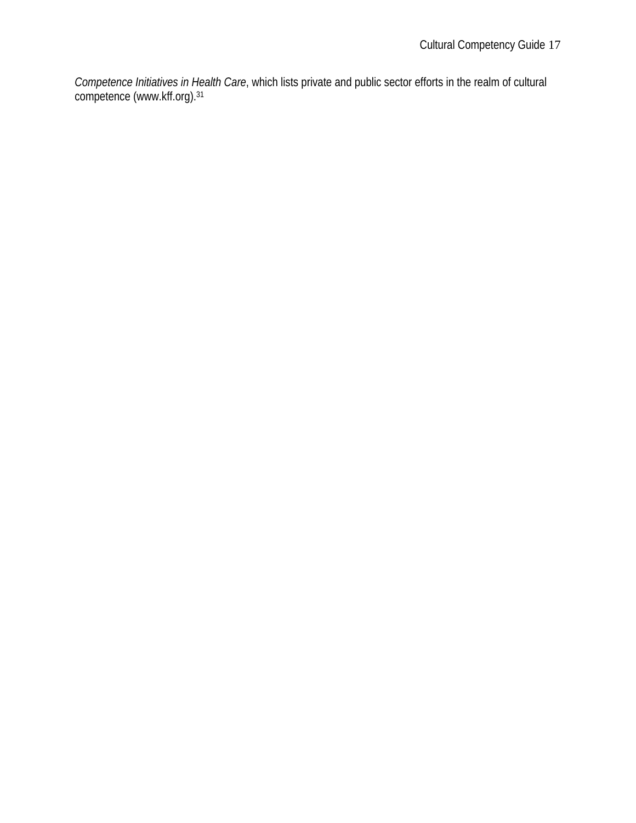*Competence Initiatives in Health Care*, which lists private and public sector efforts in the realm of cultural competence (www.kff.org).31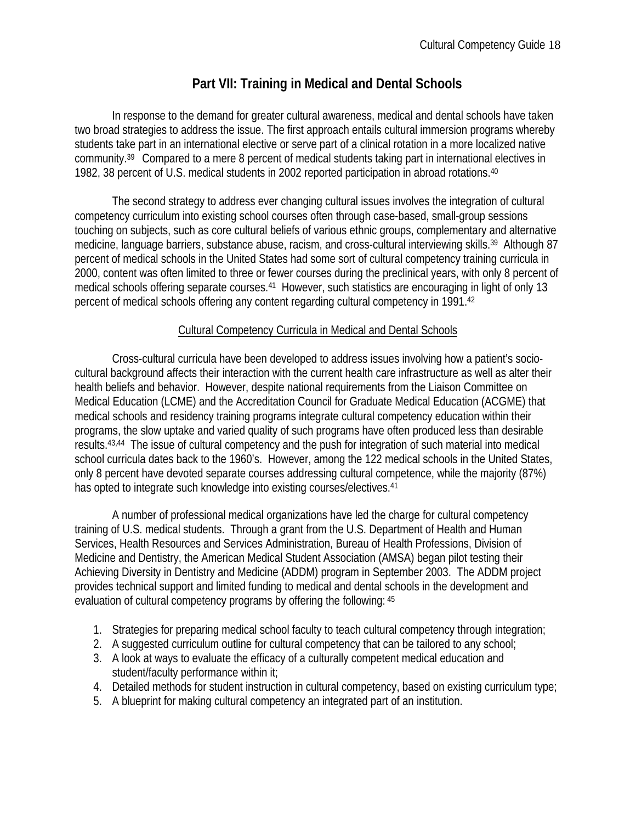# **Part VII: Training in Medical and Dental Schools**

 In response to the demand for greater cultural awareness, medical and dental schools have taken two broad strategies to address the issue. The first approach entails cultural immersion programs whereby students take part in an international elective or serve part of a clinical rotation in a more localized native community.39 Compared to a mere 8 percent of medical students taking part in international electives in 1982, 38 percent of U.S. medical students in 2002 reported participation in abroad rotations.40

The second strategy to address ever changing cultural issues involves the integration of cultural competency curriculum into existing school courses often through case-based, small-group sessions touching on subjects, such as core cultural beliefs of various ethnic groups, complementary and alternative medicine, language barriers, substance abuse, racism, and cross-cultural interviewing skills.<sup>39</sup> Although 87 percent of medical schools in the United States had some sort of cultural competency training curricula in 2000, content was often limited to three or fewer courses during the preclinical years, with only 8 percent of medical schools offering separate courses.<sup>41</sup> However, such statistics are encouraging in light of only 13 percent of medical schools offering any content regarding cultural competency in 1991.42

#### Cultural Competency Curricula in Medical and Dental Schools

Cross-cultural curricula have been developed to address issues involving how a patient's sociocultural background affects their interaction with the current health care infrastructure as well as alter their health beliefs and behavior. However, despite national requirements from the Liaison Committee on Medical Education (LCME) and the Accreditation Council for Graduate Medical Education (ACGME) that medical schools and residency training programs integrate cultural competency education within their programs, the slow uptake and varied quality of such programs have often produced less than desirable results.43,44 The issue of cultural competency and the push for integration of such material into medical school curricula dates back to the 1960's. However, among the 122 medical schools in the United States, only 8 percent have devoted separate courses addressing cultural competence, while the majority (87%) has opted to integrate such knowledge into existing courses/electives.<sup>41</sup>

A number of professional medical organizations have led the charge for cultural competency training of U.S. medical students. Through a grant from the U.S. Department of Health and Human Services, Health Resources and Services Administration, Bureau of Health Professions, Division of Medicine and Dentistry, the American Medical Student Association (AMSA) began pilot testing their Achieving Diversity in Dentistry and Medicine (ADDM) program in September 2003. The ADDM project provides technical support and limited funding to medical and dental schools in the development and evaluation of cultural competency programs by offering the following: 45

- 1. Strategies for preparing medical school faculty to teach cultural competency through integration;
- 2. A suggested curriculum outline for cultural competency that can be tailored to any school;
- 3. A look at ways to evaluate the efficacy of a culturally competent medical education and student/faculty performance within it;
- 4. Detailed methods for student instruction in cultural competency, based on existing curriculum type;
- 5. A blueprint for making cultural competency an integrated part of an institution.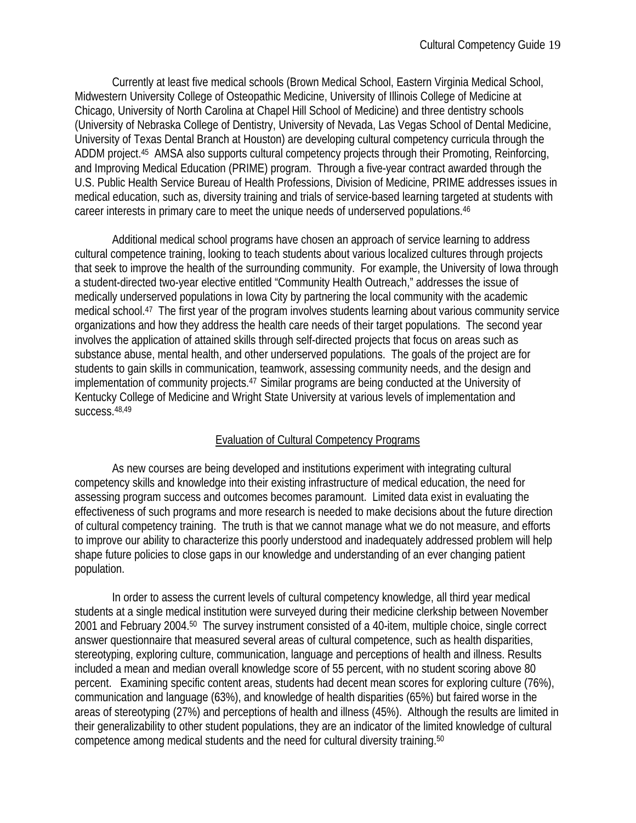Currently at least five medical schools (Brown Medical School, Eastern Virginia Medical School, Midwestern University College of Osteopathic Medicine, University of Illinois College of Medicine at Chicago, University of North Carolina at Chapel Hill School of Medicine) and three dentistry schools (University of Nebraska College of Dentistry, University of Nevada, Las Vegas School of Dental Medicine, University of Texas Dental Branch at Houston) are developing cultural competency curricula through the ADDM project.45 AMSA also supports cultural competency projects through their Promoting, Reinforcing, and Improving Medical Education (PRIME) program. Through a five-year contract awarded through the U.S. Public Health Service Bureau of Health Professions, Division of Medicine, PRIME addresses issues in medical education, such as, diversity training and trials of service-based learning targeted at students with career interests in primary care to meet the unique needs of underserved populations.46

 Additional medical school programs have chosen an approach of service learning to address cultural competence training, looking to teach students about various localized cultures through projects that seek to improve the health of the surrounding community. For example, the University of Iowa through a student-directed two-year elective entitled "Community Health Outreach," addresses the issue of medically underserved populations in Iowa City by partnering the local community with the academic medical school.47 The first year of the program involves students learning about various community service organizations and how they address the health care needs of their target populations. The second year involves the application of attained skills through self-directed projects that focus on areas such as substance abuse, mental health, and other underserved populations. The goals of the project are for students to gain skills in communication, teamwork, assessing community needs, and the design and implementation of community projects.47 Similar programs are being conducted at the University of Kentucky College of Medicine and Wright State University at various levels of implementation and success.48,49

#### Evaluation of Cultural Competency Programs

As new courses are being developed and institutions experiment with integrating cultural competency skills and knowledge into their existing infrastructure of medical education, the need for assessing program success and outcomes becomes paramount. Limited data exist in evaluating the effectiveness of such programs and more research is needed to make decisions about the future direction of cultural competency training. The truth is that we cannot manage what we do not measure, and efforts to improve our ability to characterize this poorly understood and inadequately addressed problem will help shape future policies to close gaps in our knowledge and understanding of an ever changing patient population.

In order to assess the current levels of cultural competency knowledge, all third year medical students at a single medical institution were surveyed during their medicine clerkship between November 2001 and February 2004.50 The survey instrument consisted of a 40-item, multiple choice, single correct answer questionnaire that measured several areas of cultural competence, such as health disparities, stereotyping, exploring culture, communication, language and perceptions of health and illness. Results included a mean and median overall knowledge score of 55 percent, with no student scoring above 80 percent. Examining specific content areas, students had decent mean scores for exploring culture (76%), communication and language (63%), and knowledge of health disparities (65%) but faired worse in the areas of stereotyping (27%) and perceptions of health and illness (45%). Although the results are limited in their generalizability to other student populations, they are an indicator of the limited knowledge of cultural competence among medical students and the need for cultural diversity training.50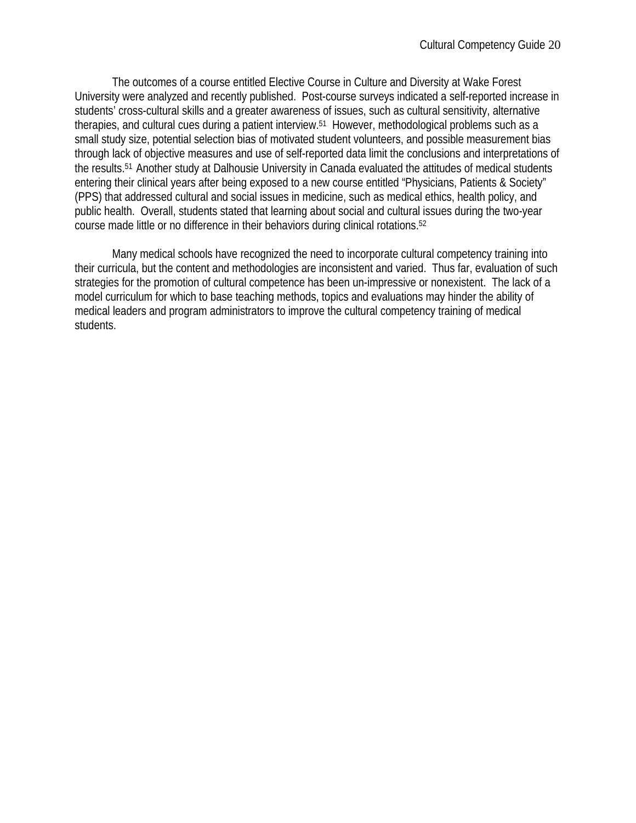The outcomes of a course entitled Elective Course in Culture and Diversity at Wake Forest University were analyzed and recently published. Post-course surveys indicated a self-reported increase in students' cross-cultural skills and a greater awareness of issues, such as cultural sensitivity, alternative therapies, and cultural cues during a patient interview.51 However, methodological problems such as a small study size, potential selection bias of motivated student volunteers, and possible measurement bias through lack of objective measures and use of self-reported data limit the conclusions and interpretations of the results.51 Another study at Dalhousie University in Canada evaluated the attitudes of medical students entering their clinical years after being exposed to a new course entitled "Physicians, Patients & Society" (PPS) that addressed cultural and social issues in medicine, such as medical ethics, health policy, and public health. Overall, students stated that learning about social and cultural issues during the two-year course made little or no difference in their behaviors during clinical rotations.52

 Many medical schools have recognized the need to incorporate cultural competency training into their curricula, but the content and methodologies are inconsistent and varied. Thus far, evaluation of such strategies for the promotion of cultural competence has been un-impressive or nonexistent. The lack of a model curriculum for which to base teaching methods, topics and evaluations may hinder the ability of medical leaders and program administrators to improve the cultural competency training of medical students.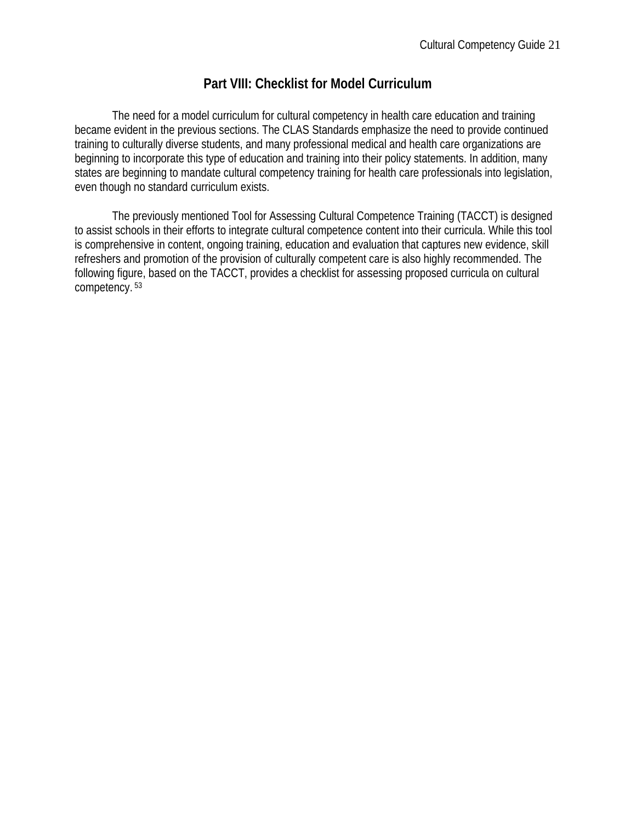### **Part VIII: Checklist for Model Curriculum**

The need for a model curriculum for cultural competency in health care education and training became evident in the previous sections. The CLAS Standards emphasize the need to provide continued training to culturally diverse students, and many professional medical and health care organizations are beginning to incorporate this type of education and training into their policy statements. In addition, many states are beginning to mandate cultural competency training for health care professionals into legislation, even though no standard curriculum exists.

The previously mentioned Tool for Assessing Cultural Competence Training (TACCT) is designed to assist schools in their efforts to integrate cultural competence content into their curricula. While this tool is comprehensive in content, ongoing training, education and evaluation that captures new evidence, skill refreshers and promotion of the provision of culturally competent care is also highly recommended. The following figure, based on the TACCT, provides a checklist for assessing proposed curricula on cultural competency. 53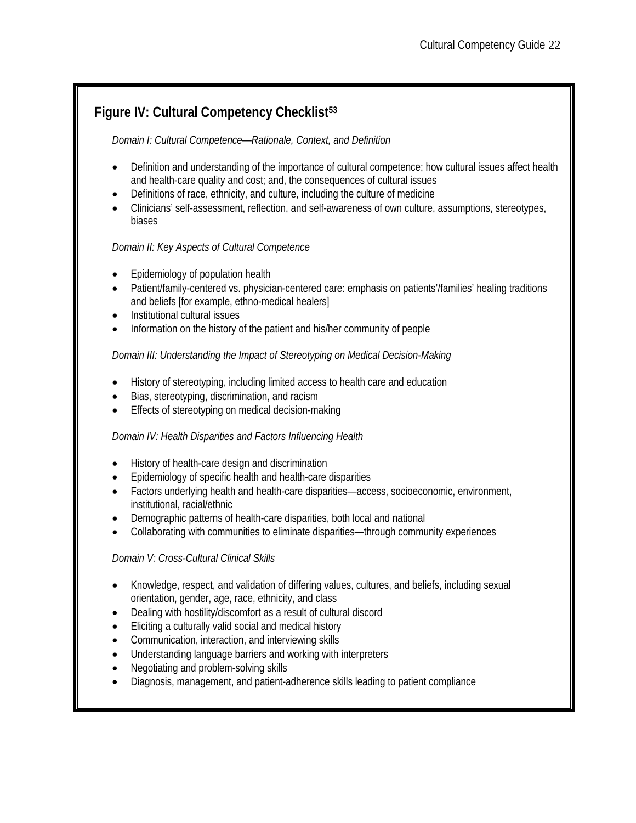# **Figure IV: Cultural Competency Checklist53**

#### *Domain I: Cultural Competence—Rationale, Context, and Definition*

- Definition and understanding of the importance of cultural competence; how cultural issues affect health and health-care quality and cost; and, the consequences of cultural issues
- Definitions of race, ethnicity, and culture, including the culture of medicine
- Clinicians' self-assessment, reflection, and self-awareness of own culture, assumptions, stereotypes, biases

#### *Domain II: Key Aspects of Cultural Competence*

- Epidemiology of population health
- Patient/family-centered vs. physician-centered care: emphasis on patients'/families' healing traditions and beliefs [for example, ethno-medical healers]
- Institutional cultural issues
- Information on the history of the patient and his/her community of people

#### *Domain III: Understanding the Impact of Stereotyping on Medical Decision-Making*

- History of stereotyping, including limited access to health care and education
- Bias, stereotyping, discrimination, and racism
- Effects of stereotyping on medical decision-making

#### *Domain IV: Health Disparities and Factors Influencing Health*

- History of health-care design and discrimination
- Epidemiology of specific health and health-care disparities
- Factors underlying health and health-care disparities—access, socioeconomic, environment, institutional, racial/ethnic
- Demographic patterns of health-care disparities, both local and national
- Collaborating with communities to eliminate disparities—through community experiences

#### *Domain V: Cross-Cultural Clinical Skills*

- Knowledge, respect, and validation of differing values, cultures, and beliefs, including sexual orientation, gender, age, race, ethnicity, and class
- Dealing with hostility/discomfort as a result of cultural discord
- Eliciting a culturally valid social and medical history
- Communication, interaction, and interviewing skills
- Understanding language barriers and working with interpreters
- Negotiating and problem-solving skills
- Diagnosis, management, and patient-adherence skills leading to patient compliance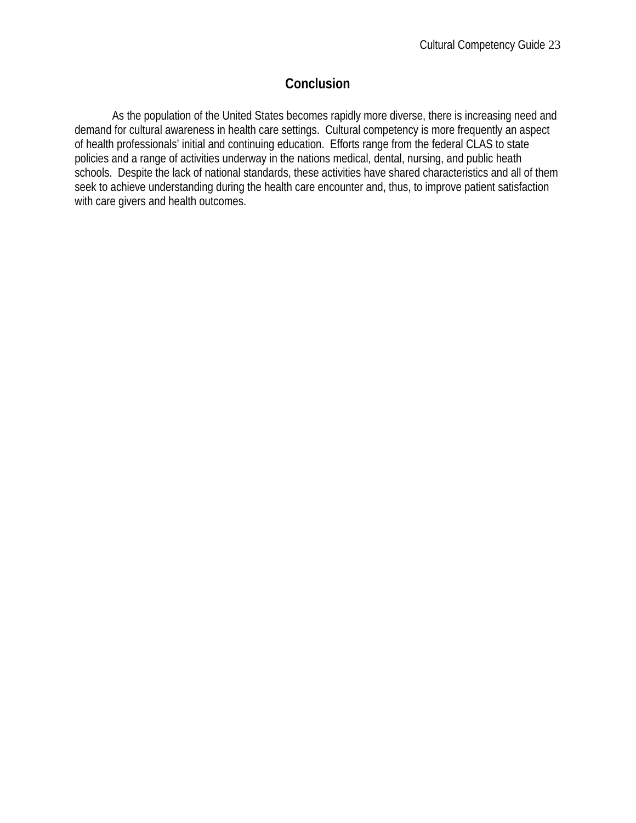# **Conclusion**

 As the population of the United States becomes rapidly more diverse, there is increasing need and demand for cultural awareness in health care settings. Cultural competency is more frequently an aspect of health professionals' initial and continuing education. Efforts range from the federal CLAS to state policies and a range of activities underway in the nations medical, dental, nursing, and public heath schools. Despite the lack of national standards, these activities have shared characteristics and all of them seek to achieve understanding during the health care encounter and, thus, to improve patient satisfaction with care givers and health outcomes.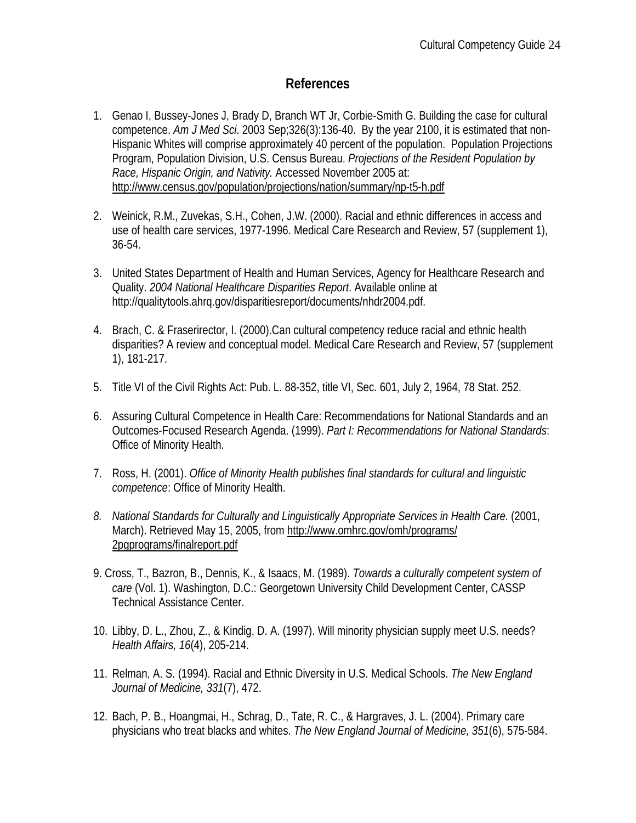### **References**

- 1. Genao I, Bussey-Jones J, Brady D, Branch WT Jr, Corbie-Smith G. Building the case for cultural competence. *Am J Med Sci*. 2003 Sep;326(3):136-40. By the year 2100, it is estimated that non-Hispanic Whites will comprise approximately 40 percent of the population. Population Projections Program, Population Division, U.S. Census Bureau. *Projections of the Resident Population by Race, Hispanic Origin, and Nativity.* Accessed November 2005 at: http://www.census.gov/population/projections/nation/summary/np-t5-h.pdf
- 2. Weinick, R.M., Zuvekas, S.H., Cohen, J.W. (2000). Racial and ethnic differences in access and use of health care services, 1977-1996. Medical Care Research and Review, 57 (supplement 1), 36-54.
- 3. United States Department of Health and Human Services, Agency for Healthcare Research and Quality. *2004 National Healthcare Disparities Report*. Available online at http://qualitytools.ahrq.gov/disparitiesreport/documents/nhdr2004.pdf.
- 4. Brach, C. & Fraserirector, I. (2000).Can cultural competency reduce racial and ethnic health disparities? A review and conceptual model. Medical Care Research and Review, 57 (supplement 1), 181-217.
- 5. Title VI of the Civil Rights Act: Pub. L. 88-352, title VI, Sec. 601, July 2, 1964, 78 Stat. 252.
- 6. Assuring Cultural Competence in Health Care: Recommendations for National Standards and an Outcomes-Focused Research Agenda. (1999). *Part I: Recommendations for National Standards*: Office of Minority Health.
- 7. Ross, H. (2001). *Office of Minority Health publishes final standards for cultural and linguistic competence*: Office of Minority Health.
- *8. National Standards for Culturally and Linguistically Appropriate Services in Health Care*. (2001, March). Retrieved May 15, 2005, from http://www.omhrc.gov/omh/programs/ 2pgprograms/finalreport.pdf
- 9. Cross, T., Bazron, B., Dennis, K., & Isaacs, M. (1989). *Towards a culturally competent system of care* (Vol. 1). Washington, D.C.: Georgetown University Child Development Center, CASSP Technical Assistance Center.
- 10. Libby, D. L., Zhou, Z., & Kindig, D. A. (1997). Will minority physician supply meet U.S. needs? *Health Affairs, 16*(4), 205-214.
- 11. Relman, A. S. (1994). Racial and Ethnic Diversity in U.S. Medical Schools. *The New England Journal of Medicine, 331*(7), 472.
- 12. Bach, P. B., Hoangmai, H., Schrag, D., Tate, R. C., & Hargraves, J. L. (2004). Primary care physicians who treat blacks and whites. *The New England Journal of Medicine, 351*(6), 575-584.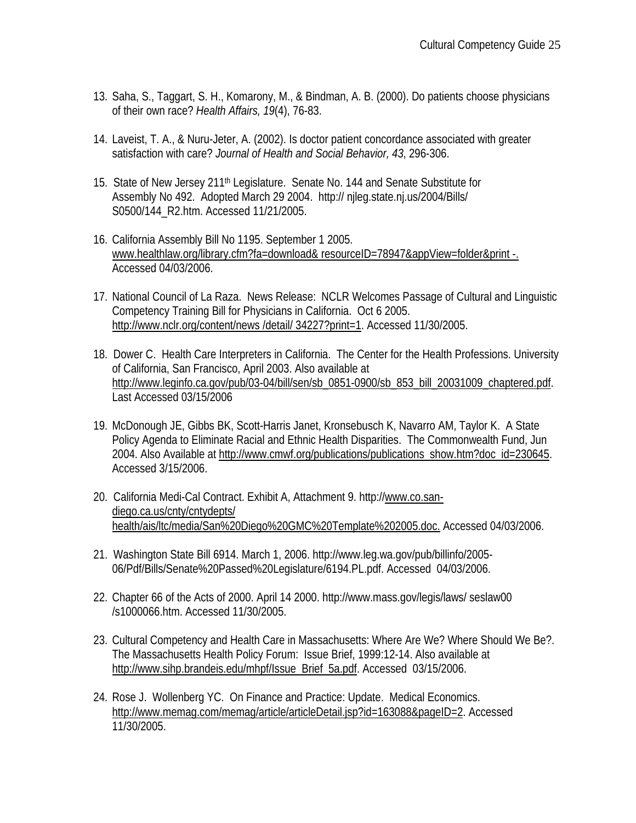- 13. Saha, S., Taggart, S. H., Komarony, M., & Bindman, A. B. (2000). Do patients choose physicians of their own race? *Health Affairs, 19*(4), 76-83.
- 14. Laveist, T. A., & Nuru-Jeter, A. (2002). Is doctor patient concordance associated with greater satisfaction with care? *Journal of Health and Social Behavior, 43*, 296-306.
- 15. State of New Jersey 211<sup>th</sup> Legislature. Senate No. 144 and Senate Substitute for Assembly No 492. Adopted March 29 2004. http:// njleg.state.nj.us/2004/Bills/ S0500/144\_R2.htm. Accessed 11/21/2005.
- 16. California Assembly Bill No 1195. September 1 2005. www.healthlaw.org/library.cfm?fa=download& resourceID=78947&appView=folder&print -. Accessed 04/03/2006.
- 17. National Council of La Raza. News Release: NCLR Welcomes Passage of Cultural and Linguistic Competency Training Bill for Physicians in California. Oct 6 2005. http://www.nclr.org/content/news/detail/ 34227?print=1. Accessed 11/30/2005.
- 18. Dower C. Health Care Interpreters in California. The Center for the Health Professions. University of California, San Francisco, April 2003. Also available at http://www.leginfo.ca.gov/pub/03-04/bill/sen/sb\_0851-0900/sb\_853\_bill\_20031009\_chaptered.pdf. Last Accessed 03/15/2006
- 19. McDonough JE, Gibbs BK, Scott-Harris Janet, Kronsebusch K, Navarro AM, Taylor K. A State Policy Agenda to Eliminate Racial and Ethnic Health Disparities. The Commonwealth Fund, Jun 2004. Also Available at http://www.cmwf.org/publications/publications\_show.htm?doc\_id=230645. Accessed 3/15/2006.
- 20. California Medi-Cal Contract. Exhibit A, Attachment 9. http://www.co.sandiego.ca.us/cnty/cntydepts/ health/ais/ltc/media/San%20Diego%20GMC%20Template%202005.doc. Accessed 04/03/2006.
- 21. Washington State Bill 6914. March 1, 2006. http://www.leg.wa.gov/pub/billinfo/2005- 06/Pdf/Bills/Senate%20Passed%20Legislature/6194.PL.pdf. Accessed 04/03/2006.
- 22. Chapter 66 of the Acts of 2000. April 14 2000. http://www.mass.gov/legis/laws/ seslaw00 /s1000066.htm. Accessed 11/30/2005.
- 23. Cultural Competency and Health Care in Massachusetts: Where Are We? Where Should We Be?. The Massachusetts Health Policy Forum: Issue Brief, 1999:12-14. Also available at http://www.sihp.brandeis.edu/mhpf/Issue\_Brief\_5a.pdf. Accessed 03/15/2006.
- 24. Rose J. Wollenberg YC. On Finance and Practice: Update. Medical Economics. http://www.memag.com/memag/article/articleDetail.jsp?id=163088&pageID=2. Accessed 11/30/2005.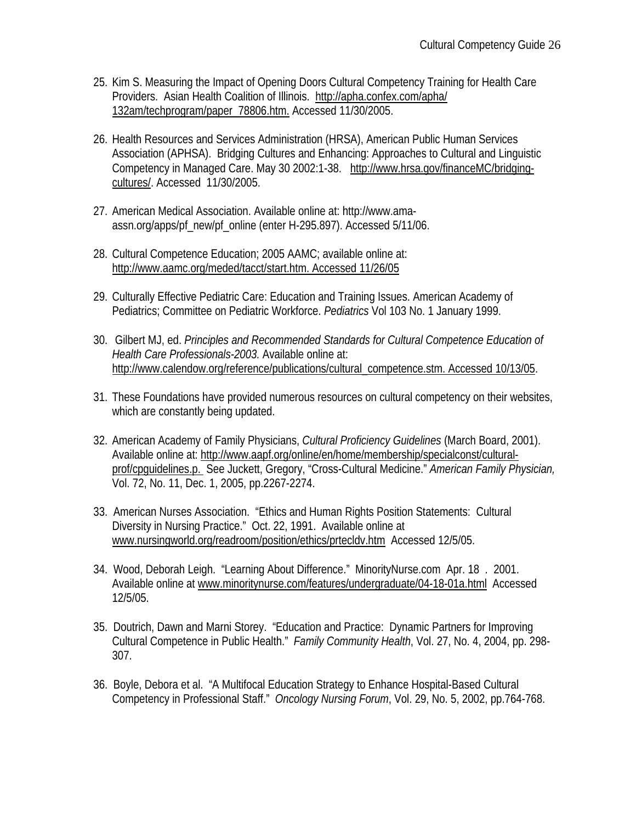- 25. Kim S. Measuring the Impact of Opening Doors Cultural Competency Training for Health Care Providers. Asian Health Coalition of Illinois. http://apha.confex.com/apha/ 132am/techprogram/paper\_78806.htm. Accessed 11/30/2005.
- 26. Health Resources and Services Administration (HRSA), American Public Human Services Association (APHSA). Bridging Cultures and Enhancing: Approaches to Cultural and Linguistic Competency in Managed Care. May 30 2002:1-38. http://www.hrsa.gov/financeMC/bridgingcultures/. Accessed 11/30/2005.
- 27. American Medical Association. Available online at: http://www.amaassn.org/apps/pf\_new/pf\_online (enter H-295.897). Accessed 5/11/06.
- 28. Cultural Competence Education; 2005 AAMC; available online at: http://www.aamc.org/meded/tacct/start.htm. Accessed 11/26/05
- 29. Culturally Effective Pediatric Care: Education and Training Issues. American Academy of Pediatrics; Committee on Pediatric Workforce. *Pediatrics* Vol 103 No. 1 January 1999.
- 30. Gilbert MJ, ed. *Principles and Recommended Standards for Cultural Competence Education of Health Care Professionals-2003.* Available online at: http://www.calendow.org/reference/publications/cultural\_competence.stm. Accessed 10/13/05.
- 31. These Foundations have provided numerous resources on cultural competency on their websites, which are constantly being updated.
- 32. American Academy of Family Physicians, *Cultural Proficiency Guidelines* (March Board, 2001). Available online at: http://www.aapf.org/online/en/home/membership/specialconst/culturalprof/cpguidelines.p. See Juckett, Gregory, "Cross-Cultural Medicine." *American Family Physician,*  Vol. 72, No. 11, Dec. 1, 2005, pp.2267-2274.
- 33. American Nurses Association. "Ethics and Human Rights Position Statements: Cultural Diversity in Nursing Practice." Oct. 22, 1991. Available online at www.nursingworld.org/readroom/position/ethics/prtecldv.htm Accessed 12/5/05.
- 34. Wood, Deborah Leigh. "Learning About Difference." MinorityNurse.com Apr. 18 . 2001. Available online at www.minoritynurse.com/features/undergraduate/04-18-01a.html Accessed 12/5/05.
- 35. Doutrich, Dawn and Marni Storey. "Education and Practice: Dynamic Partners for Improving Cultural Competence in Public Health." *Family Community Health*, Vol. 27, No. 4, 2004, pp. 298- 307.
- 36. Boyle, Debora et al. "A Multifocal Education Strategy to Enhance Hospital-Based Cultural Competency in Professional Staff." *Oncology Nursing Forum*, Vol. 29, No. 5, 2002, pp.764-768.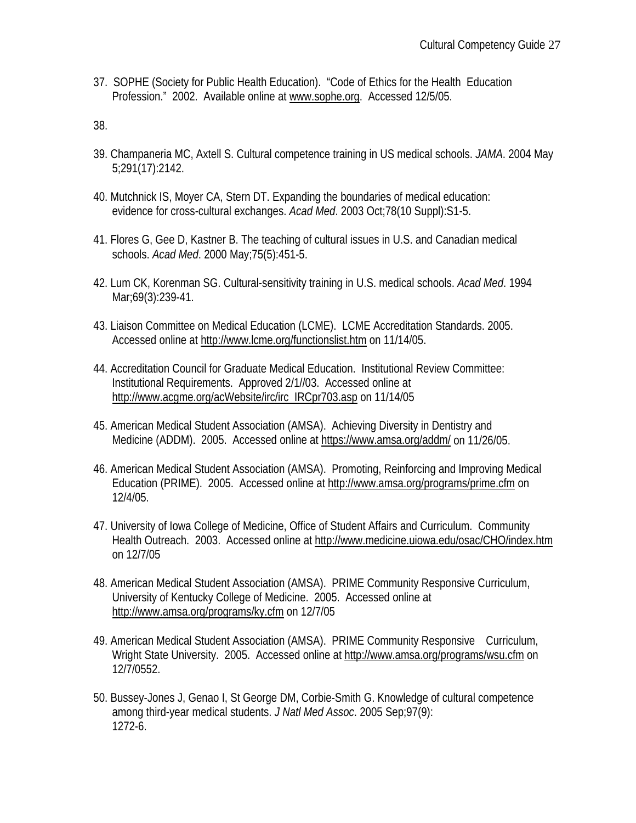37. SOPHE (Society for Public Health Education). "Code of Ethics for the Health Education Profession." 2002. Available online at www.sophe.org. Accessed 12/5/05.

38.

- 39. Champaneria MC, Axtell S. Cultural competence training in US medical schools. *JAMA*. 2004 May 5;291(17):2142.
- 40. Mutchnick IS, Moyer CA, Stern DT. Expanding the boundaries of medical education: evidence for cross-cultural exchanges. *Acad Med*. 2003 Oct;78(10 Suppl):S1-5.
- 41. Flores G, Gee D, Kastner B. The teaching of cultural issues in U.S. and Canadian medical schools. *Acad Med*. 2000 May;75(5):451-5.
- 42. Lum CK, Korenman SG. Cultural-sensitivity training in U.S. medical schools. *Acad Med*. 1994 Mar;69(3):239-41.
- 43. Liaison Committee on Medical Education (LCME). LCME Accreditation Standards. 2005. Accessed online at http://www.lcme.org/functionslist.htm on 11/14/05.
- 44. Accreditation Council for Graduate Medical Education. Institutional Review Committee: Institutional Requirements. Approved 2/1//03. Accessed online at http://www.acgme.org/acWebsite/irc/irc\_IRCpr703.asp on 11/14/05
- 45. American Medical Student Association (AMSA). Achieving Diversity in Dentistry and Medicine (ADDM). 2005. Accessed online at https://www.amsa.org/addm/ on 11/26/05.
- 46. American Medical Student Association (AMSA). Promoting, Reinforcing and Improving Medical Education (PRIME). 2005. Accessed online at http://www.amsa.org/programs/prime.cfm on 12/4/05.
- 47. University of Iowa College of Medicine, Office of Student Affairs and Curriculum. Community Health Outreach. 2003. Accessed online at http://www.medicine.uiowa.edu/osac/CHO/index.htm on 12/7/05
- 48. American Medical Student Association (AMSA). PRIME Community Responsive Curriculum, University of Kentucky College of Medicine. 2005. Accessed online at http://www.amsa.org/programs/ky.cfm on 12/7/05
- 49. American Medical Student Association (AMSA). PRIME Community Responsive Curriculum, Wright State University. 2005. Accessed online at http://www.amsa.org/programs/wsu.cfm on 12/7/0552.
- 50. Bussey-Jones J, Genao I, St George DM, Corbie-Smith G. Knowledge of cultural competence among third-year medical students. *J Natl Med Assoc*. 2005 Sep;97(9): 1272-6.